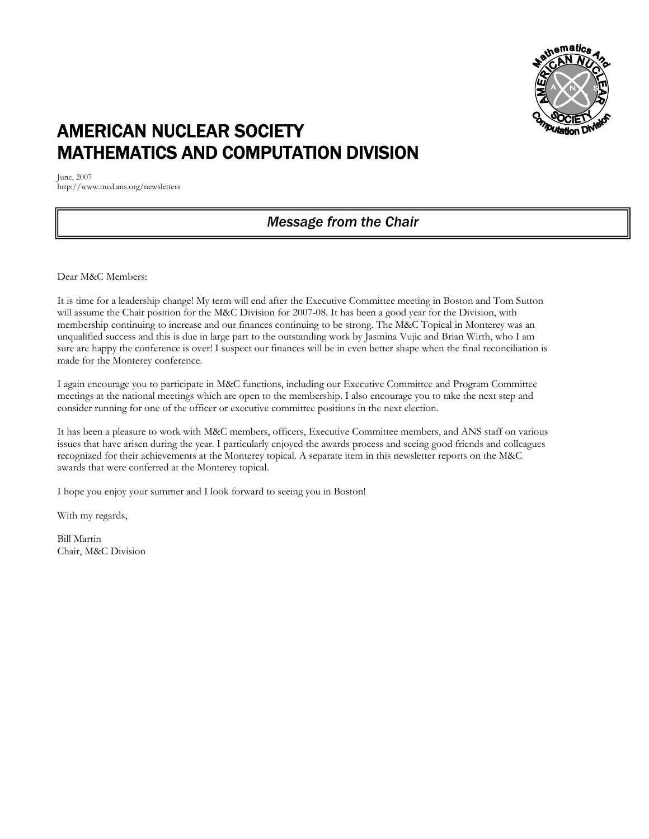

# AMERICAN NUCLEAR SOCIETY MATHEMATICS AND COMPUTATION DIVISION

June, 2007 http://www.mcd.ans.org/newsletters

### *Message from the Chair*

Dear M&C Members:

It is time for a leadership change! My term will end after the Executive Committee meeting in Boston and Tom Sutton will assume the Chair position for the M&C Division for 2007-08. It has been a good year for the Division, with membership continuing to increase and our finances continuing to be strong. The M&C Topical in Monterey was an unqualified success and this is due in large part to the outstanding work by Jasmina Vujic and Brian Wirth, who I am sure are happy the conference is over! I suspect our finances will be in even better shape when the final reconciliation is made for the Monterey conference.

I again encourage you to participate in M&C functions, including our Executive Committee and Program Committee meetings at the national meetings which are open to the membership. I also encourage you to take the next step and consider running for one of the officer or executive committee positions in the next election.

It has been a pleasure to work with M&C members, officers, Executive Committee members, and ANS staff on various issues that have arisen during the year. I particularly enjoyed the awards process and seeing good friends and colleagues recognized for their achievements at the Monterey topical. A separate item in this newsletter reports on the M&C awards that were conferred at the Monterey topical.

I hope you enjoy your summer and I look forward to seeing you in Boston!

With my regards,

Bill Martin Chair, M&C Division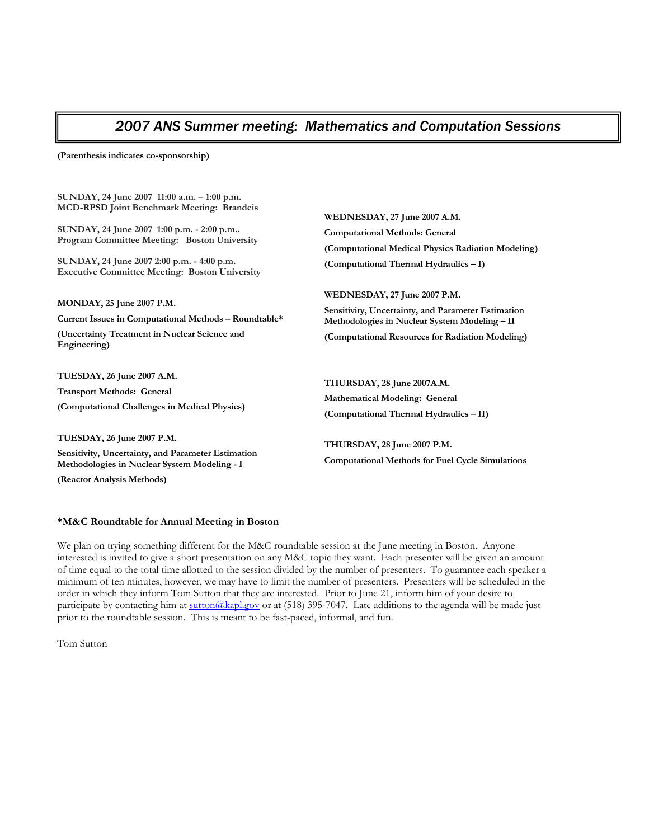### *2007 ANS Summer meeting: Mathematics and Computation Sessions*

**(Parenthesis indicates co-sponsorship)** 

**SUNDAY, 24 June 2007 11:00 a.m. – 1:00 p.m. MCD-RPSD Joint Benchmark Meeting: Brandeis** 

**SUNDAY, 24 June 2007 1:00 p.m. - 2:00 p.m.. Program Committee Meeting: Boston University** 

**SUNDAY, 24 June 2007 2:00 p.m. - 4:00 p.m. Executive Committee Meeting: Boston University**

**MONDAY, 25 June 2007 P.M.** 

**Current Issues in Computational Methods – Roundtable\*** 

**(Uncertainty Treatment in Nuclear Science and Engineering)** 

**TUESDAY, 26 June 2007 A.M. Transport Methods: General (Computational Challenges in Medical Physics)** 

**TUESDAY, 26 June 2007 P.M.** 

**Sensitivity, Uncertainty, and Parameter Estimation Methodologies in Nuclear System Modeling - I** 

**(Reactor Analysis Methods)** 

**WEDNESDAY, 27 June 2007 A.M. Computational Methods: General (Computational Medical Physics Radiation Modeling) (Computational Thermal Hydraulics – I)** 

**WEDNESDAY, 27 June 2007 P.M. Sensitivity, Uncertainty, and Parameter Estimation Methodologies in Nuclear System Modeling – II (Computational Resources for Radiation Modeling)** 

**THURSDAY, 28 June 2007A.M. Mathematical Modeling: General (Computational Thermal Hydraulics – II)** 

**THURSDAY, 28 June 2007 P.M. Computational Methods for Fuel Cycle Simulations** 

#### **\*M&C Roundtable for Annual Meeting in Boston**

We plan on trying something different for the M&C roundtable session at the June meeting in Boston. Anyone interested is invited to give a short presentation on any M&C topic they want. Each presenter will be given an amount of time equal to the total time allotted to the session divided by the number of presenters. To guarantee each speaker a minimum of ten minutes, however, we may have to limit the number of presenters. Presenters will be scheduled in the order in which they inform Tom Sutton that they are interested. Prior to June 21, inform him of your desire to participate by contacting him at sutton@kapl.gov or at (518) 395-7047. Late additions to the agenda will be made just prior to the roundtable session. This is meant to be fast-paced, informal, and fun.

Tom Sutton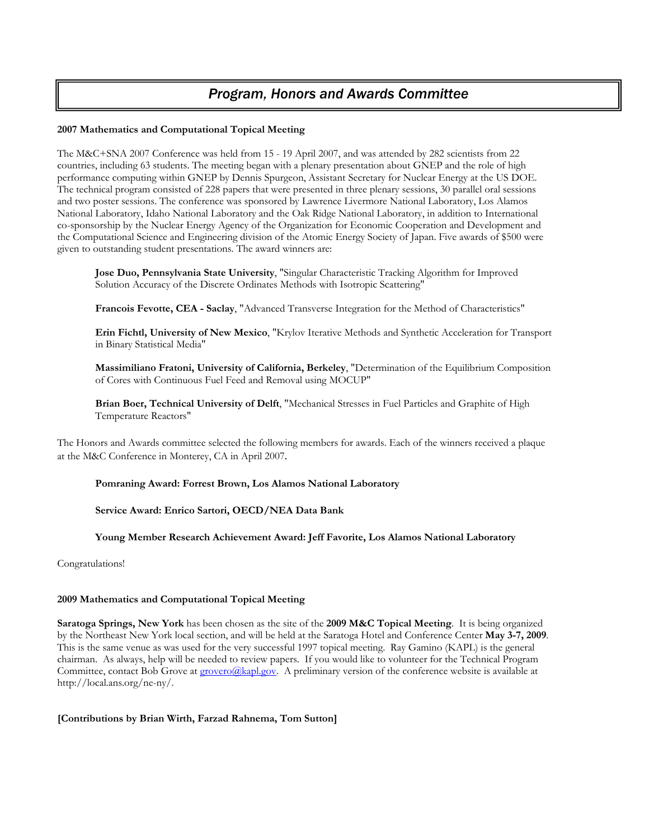### *Program, Honors and Awards Committee*

#### **2007 Mathematics and Computational Topical Meeting**

The M&C+SNA 2007 Conference was held from 15 - 19 April 2007, and was attended by 282 scientists from 22 countries, including 63 students. The meeting began with a plenary presentation about GNEP and the role of high performance computing within GNEP by Dennis Spurgeon, Assistant Secretary for Nuclear Energy at the US DOE. The technical program consisted of 228 papers that were presented in three plenary sessions, 30 parallel oral sessions and two poster sessions. The conference was sponsored by Lawrence Livermore National Laboratory, Los Alamos National Laboratory, Idaho National Laboratory and the Oak Ridge National Laboratory, in addition to International co-sponsorship by the Nuclear Energy Agency of the Organization for Economic Cooperation and Development and the Computational Science and Engineering division of the Atomic Energy Society of Japan. Five awards of \$500 were given to outstanding student presentations. The award winners are:

**Jose Duo, Pennsylvania State University**, "Singular Characteristic Tracking Algorithm for Improved Solution Accuracy of the Discrete Ordinates Methods with Isotropic Scattering"

**Francois Fevotte, CEA - Saclay**, "Advanced Transverse Integration for the Method of Characteristics"

**Erin Fichtl, University of New Mexico**, "Krylov Iterative Methods and Synthetic Acceleration for Transport in Binary Statistical Media"

**Massimiliano Fratoni, University of California, Berkeley**, "Determination of the Equilibrium Composition of Cores with Continuous Fuel Feed and Removal using MOCUP"

**Brian Boer, Technical University of Delft**, "Mechanical Stresses in Fuel Particles and Graphite of High Temperature Reactors"

The Honors and Awards committee selected the following members for awards. Each of the winners received a plaque at the M&C Conference in Monterey, CA in April 2007.

#### **Pomraning Award: Forrest Brown, Los Alamos National Laboratory**

**Service Award: Enrico Sartori, OECD/NEA Data Bank**

**Young Member Research Achievement Award: Jeff Favorite, Los Alamos National Laboratory** 

Congratulations!

#### **2009 Mathematics and Computational Topical Meeting**

**Saratoga Springs, New York** has been chosen as the site of the **2009 M&C Topical Meeting**. It is being organized by the Northeast New York local section, and will be held at the Saratoga Hotel and Conference Center **May 3-7, 2009**. This is the same venue as was used for the very successful 1997 topical meeting. Ray Gamino (KAPL) is the general chairman. As always, help will be needed to review papers. If you would like to volunteer for the Technical Program Committee, contact Bob Grove at **grovero@kapl.gov**. A preliminary version of the conference website is available at http://local.ans.org/ne-ny/.

#### **[Contributions by Brian Wirth, Farzad Rahnema, Tom Sutton]**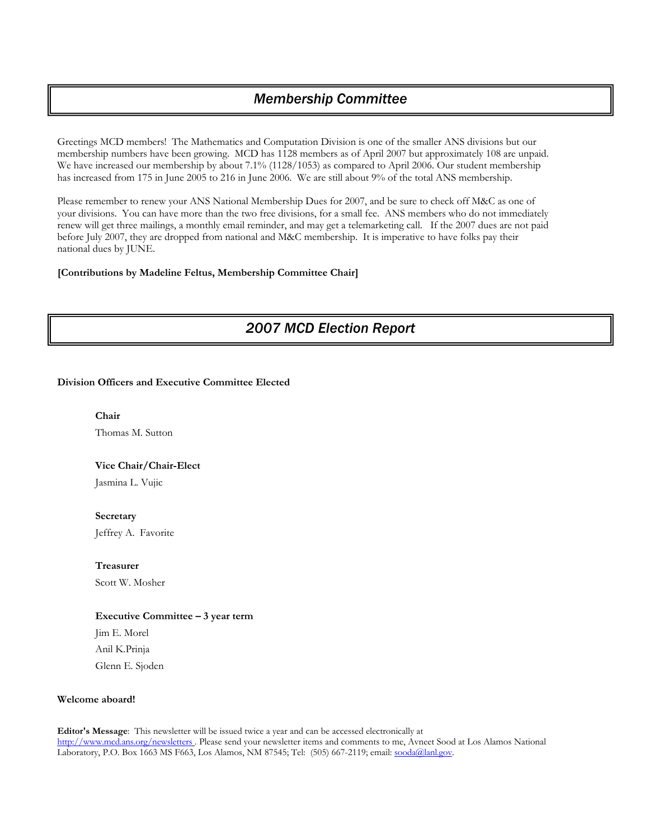### *Membership Committee*

Greetings MCD members! The Mathematics and Computation Division is one of the smaller ANS divisions but our membership numbers have been growing. MCD has 1128 members as of April 2007 but approximately 108 are unpaid. We have increased our membership by about 7.1% (1128/1053) as compared to April 2006. Our student membership has increased from 175 in June 2005 to 216 in June 2006. We are still about 9% of the total ANS membership.

Please remember to renew your ANS National Membership Dues for 2007, and be sure to check off M&C as one of your divisions. You can have more than the two free divisions, for a small fee. ANS members who do not immediately renew will get three mailings, a monthly email reminder, and may get a telemarketing call. If the 2007 dues are not paid before July 2007, they are dropped from national and M&C membership. It is imperative to have folks pay their national dues by JUNE.

#### **[Contributions by Madeline Feltus, Membership Committee Chair]**

## *2007 MCD Election Report*

#### **Division Officers and Executive Committee Elected**

**Chair**  Thomas M. Sutton

#### **Vice Chair/Chair-Elect**

Jasmina L. Vujic

**Secretary**  Jeffrey A. Favorite

**Treasurer** 

Scott W. Mosher

#### **Executive Committee – 3 year term**

Jim E. Morel Anil K.Prinja Glenn E. Sjoden

#### **Welcome aboard!**

**Editor's Message**: This newsletter will be issued twice a year and can be accessed electronically at http://www.mcd.ans.org/newsletters . Please send your newsletter items and comments to me, Avneet Sood at Los Alamos National Laboratory, P.O. Box 1663 MS F663, Los Alamos, NM 87545; Tel: (505) 667-2119; email: sooda@lanl.gov.